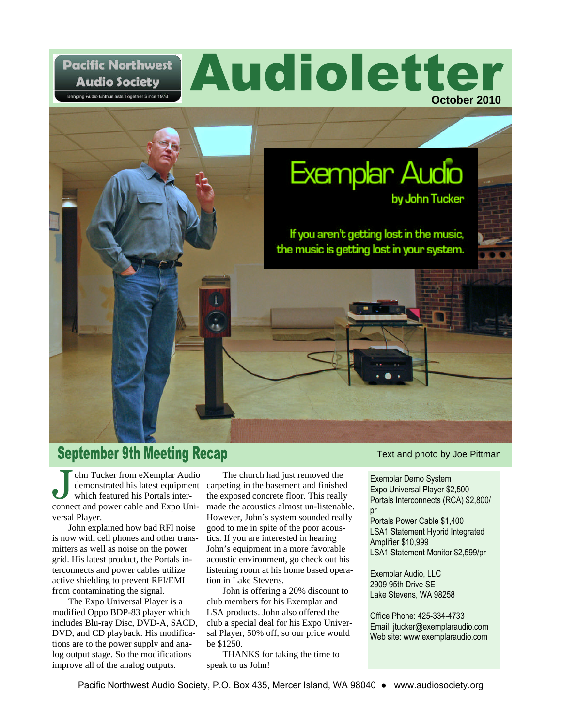## **Pacific Northwest Audio Society**

.<br>Bringing Audio Enthusiasts Together Since 1978





# **September 9th Meeting Recap**

ohn Tucker from eXemplar Audio which featured his Portals interconnect and power cable and Expo Universal Player.

John explained how bad RFI noise is now with cell phones and other transmitters as well as noise on the power grid. His latest product, the Portals interconnects and power cables utilize active shielding to prevent RFI/EMI from contaminating the signal.

The Expo Universal Player is a modified Oppo BDP-83 player which includes Blu-ray Disc, DVD-A, SACD, DVD, and CD playback. His modifications are to the power supply and analog output stage. So the modifications improve all of the analog outputs.

demonstrated his latest equipment carpeting in the basement and finished The church had just removed the the exposed concrete floor. This really made the acoustics almost un-listenable. However, John's system sounded really good to me in spite of the poor acoustics. If you are interested in hearing John's equipment in a more favorable acoustic environment, go check out his listening room at his home based operation in Lake Stevens.

John is offering a 20% discount to club members for his Exemplar and LSA products. John also offered the club a special deal for his Expo Universal Player, 50% off, so our price would be \$1250.

THANKS for taking the time to speak to us John!

Text and photo by Joe Pittman

Exemplar Demo System Expo Universal Player \$2,500 Portals Interconnects (RCA) \$2,800/ pr Portals Power Cable \$1,400 LSA1 Statement Hybrid Integrated Amplifier \$10,999 LSA1 Statement Monitor \$2,599/pr

Exemplar Audio, LLC 2909 95th Drive SE Lake Stevens, WA 98258

Office Phone: 425-334-4733 Email: jtucker@exemplaraudio.com Web site: www.exemplaraudio.com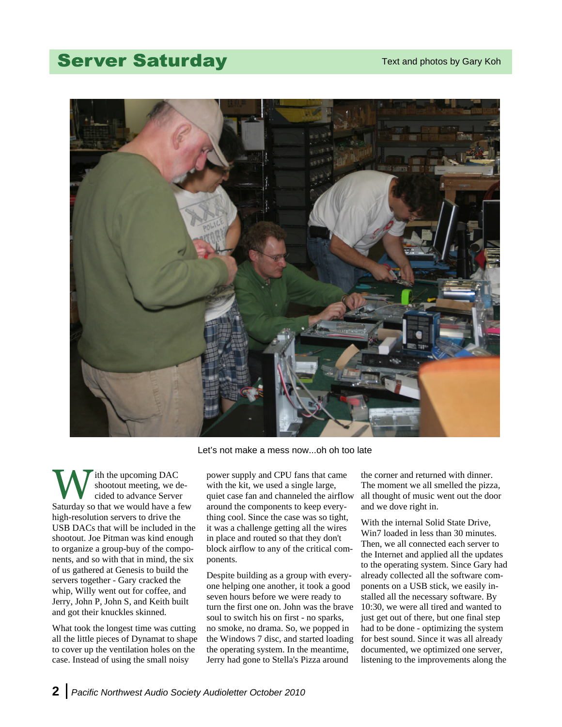## **Server Saturday**



Let's not make a mess now...oh oh too late

ith the upcoming DAC shootout meeting, we decided to advance Server Saturday so that we would have a few high-resolution servers to drive the USB DACs that will be included in the shootout. Joe Pitman was kind enough to organize a group-buy of the components, and so with that in mind, the six of us gathered at Genesis to build the servers together - Gary cracked the whip, Willy went out for coffee, and Jerry, John P, John S, and Keith built and got their knuckles skinned.

What took the longest time was cutting all the little pieces of Dynamat to shape to cover up the ventilation holes on the case. Instead of using the small noisy

power supply and CPU fans that came with the kit, we used a single large, quiet case fan and channeled the airflow around the components to keep everything cool. Since the case was so tight, it was a challenge getting all the wires in place and routed so that they don't block airflow to any of the critical components.

Despite building as a group with everyone helping one another, it took a good seven hours before we were ready to turn the first one on. John was the brave soul to switch his on first - no sparks, no smoke, no drama. So, we popped in the Windows 7 disc, and started loading the operating system. In the meantime, Jerry had gone to Stella's Pizza around

the corner and returned with dinner. The moment we all smelled the pizza, all thought of music went out the door and we dove right in.

With the internal Solid State Drive, Win7 loaded in less than 30 minutes. Then, we all connected each server to the Internet and applied all the updates to the operating system. Since Gary had already collected all the software components on a USB stick, we easily installed all the necessary software. By 10:30, we were all tired and wanted to just get out of there, but one final step had to be done - optimizing the system for best sound. Since it was all already documented, we optimized one server, listening to the improvements along the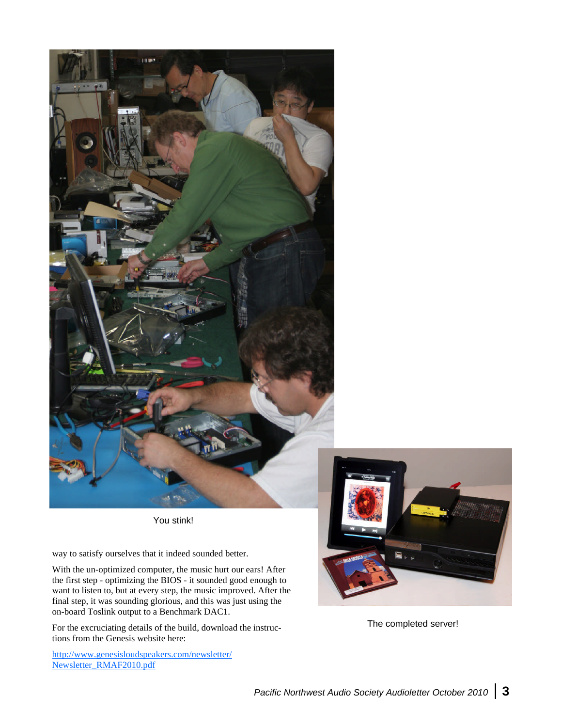

You stink!

way to satisfy ourselves that it indeed sounded better.

With the un-optimized computer, the music hurt our ears! After the first step - optimizing the BIOS - it sounded good enough to want to listen to, but at every step, the music improved. After the final step, it was sounding glorious, and this was just using the on-board Toslink output to a Benchmark DAC1.

For the excruciating details of the build, download the instructions from the Genesis website here:

http://www.genesisloudspeakers.com/newsletter/ Newsletter\_RMAF2010.pdf



The completed server!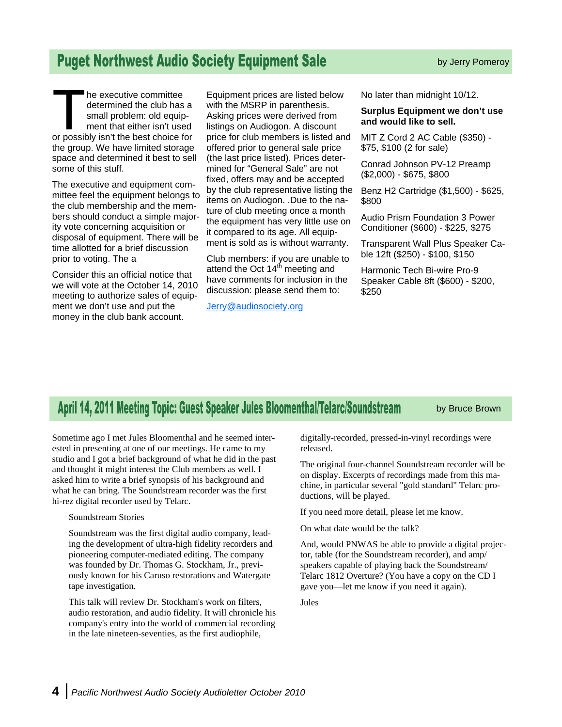### **Puget Northwest Audio Society Equipment Sale**

he executive committee determined the club has a small problem: old equipment that either isn't used or possibly isn't the best choice for the group. We have limited storage space and determined it best to sell some of this stuff.

The executive and equipment committee feel the equipment belongs to the club membership and the members should conduct a simple majority vote concerning acquisition or disposal of equipment. There will be time allotted for a brief discussion prior to voting. The a

Consider this an official notice that we will vote at the October 14, 2010 meeting to authorize sales of equipment we don't use and put the money in the club bank account.

Equipment prices are listed below with the MSRP in parenthesis. Asking prices were derived from listings on Audiogon. A discount price for club members is listed and offered prior to general sale price (the last price listed). Prices determined for "General Sale" are not fixed, offers may and be accepted by the club representative listing the items on Audiogon. .Due to the nature of club meeting once a month the equipment has very little use on it compared to its age. All equipment is sold as is without warranty.

Club members: if you are unable to attend the Oct 14<sup>th</sup> meeting and have comments for inclusion in the discussion: please send them to:

Jerry@audiosociety.org

No later than midnight 10/12.

#### **Surplus Equipment we don't use and would like to sell.**

MIT Z Cord 2 AC Cable (\$350) - \$75, \$100 (2 for sale)

Conrad Johnson PV-12 Preamp (\$2,000) - \$675, \$800

Benz H2 Cartridge (\$1,500) - \$625, \$800

Audio Prism Foundation 3 Power Conditioner (\$600) - \$225, \$275

Transparent Wall Plus Speaker Cable 12ft (\$250) - \$100, \$150

Harmonic Tech Bi-wire Pro-9 Speaker Cable 8ft (\$600) - \$200, \$250

# April 14, 2011 Meeting Topic: Guest Speaker Jules Bloomenthal/Telarc/Soundstream

by Bruce Brown

Sometime ago I met Jules Bloomenthal and he seemed interested in presenting at one of our meetings. He came to my studio and I got a brief background of what he did in the past and thought it might interest the Club members as well. I asked him to write a brief synopsis of his background and what he can bring. The Soundstream recorder was the first hi-rez digital recorder used by Telarc.

#### Soundstream Stories

Soundstream was the first digital audio company, leading the development of ultra-high fidelity recorders and pioneering computer-mediated editing. The company was founded by Dr. Thomas G. Stockham, Jr., previously known for his Caruso restorations and Watergate tape investigation.

This talk will review Dr. Stockham's work on filters, audio restoration, and audio fidelity. It will chronicle his company's entry into the world of commercial recording in the late nineteen-seventies, as the first audiophile,

digitally-recorded, pressed-in-vinyl recordings were released.

The original four-channel Soundstream recorder will be on display. Excerpts of recordings made from this machine, in particular several "gold standard" Telarc productions, will be played.

If you need more detail, please let me know.

On what date would be the talk?

And, would PNWAS be able to provide a digital projector, table (for the Soundstream recorder), and amp/ speakers capable of playing back the Soundstream/ Telarc 1812 Overture? (You have a copy on the CD I gave you—let me know if you need it again).

Jules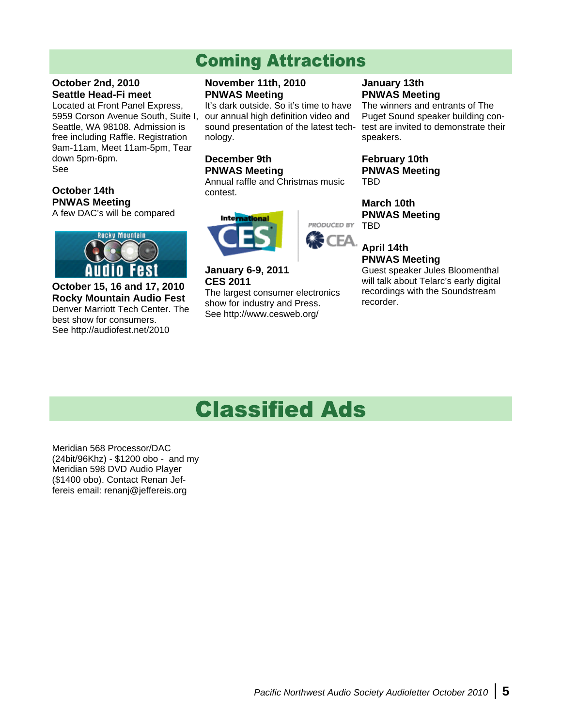# **Coming Attractions**

#### **October 2nd, 2010 Seattle Head-Fi meet**

Located at Front Panel Express, 5959 Corson Avenue South, Suite I, Seattle, WA 98108. Admission is free including Raffle. Registration 9am-11am, Meet 11am-5pm, Tear down 5pm-6pm. See

#### **October 14th PNWAS Meeting**

A few DAC's will be compared



**October 15, 16 and 17, 2010 Rocky Mountain Audio Fest** Denver Marriott Tech Center. The best show for consumers. See http://audiofest.net/2010

#### **November 11th, 2010 PNWAS Meeting**

It's dark outside. So it's time to have our annual high definition video and sound presentation of the latest technology.

#### **December 9th PNWAS Meeting**

Annual raffle and Christmas music contest.



**January 6-9, 2011 CES 2011** The largest consumer electronics

show for industry and Press. See http://www.cesweb.org/

#### **January 13th PNWAS Meeting**

The winners and entrants of The Puget Sound speaker building contest are invited to demonstrate their speakers.

**February 10th PNWAS Meeting** TBD

**March 10th PNWAS Meeting** PRODUCED BY TBD

#### CEA. **April 14th PNWAS Meeting**

Guest speaker Jules Bloomenthal will talk about Telarc's early digital recordings with the Soundstream recorder.

# **Classified Ads**

Meridian 568 Processor/DAC (24bit/96Khz) - \$1200 obo - and my Meridian 598 DVD Audio Player (\$1400 obo). Contact Renan Jeffereis email: renanj@jeffereis.org